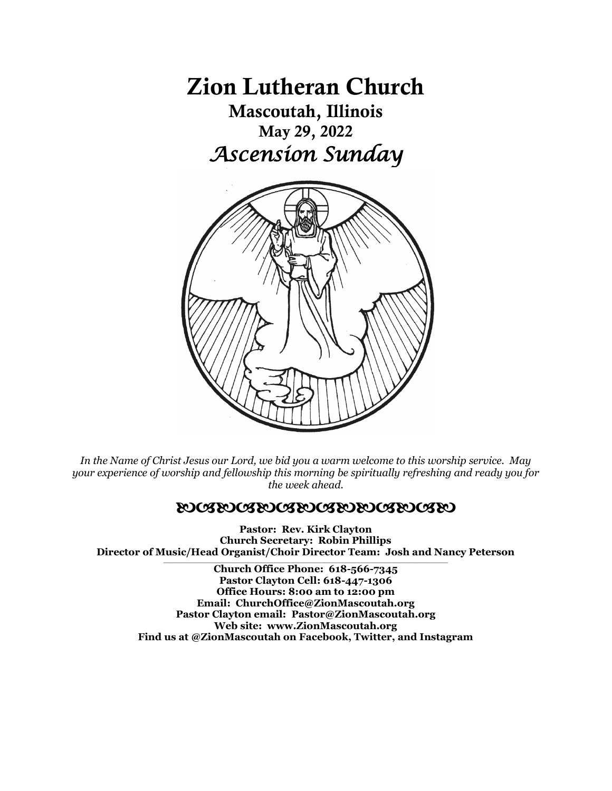

*In the Name of Christ Jesus our Lord, we bid you a warm welcome to this worship service. May your experience of worship and fellowship this morning be spiritually refreshing and ready you for the week ahead.*

# **WAYOROAYORAYOROAYORAYO**

**Pastor: Rev. Kirk Clayton Church Secretary: Robin Phillips Director of Music/Head Organist/Choir Director Team: Josh and Nancy Peterson**

**\_\_\_\_\_\_\_\_\_\_\_\_\_\_\_\_\_\_\_\_\_\_\_\_\_\_\_\_\_\_\_\_\_\_\_\_\_\_\_\_\_\_\_\_\_\_\_\_\_\_\_\_\_\_\_\_\_\_\_\_\_\_\_\_\_\_\_\_\_\_\_\_\_\_\_\_\_\_\_\_\_ Church Office Phone: 618-566-7345 Pastor Clayton Cell: 618-447-1306 Office Hours: 8:00 am to 12:00 pm Email: ChurchOffice@ZionMascoutah.org Pastor Clayton email: [Pastor@ZionMascoutah.org](mailto:Pastor@ZionMascoutah.org) Web site: [www.ZionMascoutah.org](http://www.zionmascoutah.org/) Find us at @ZionMascoutah on Facebook, Twitter, and Instagram**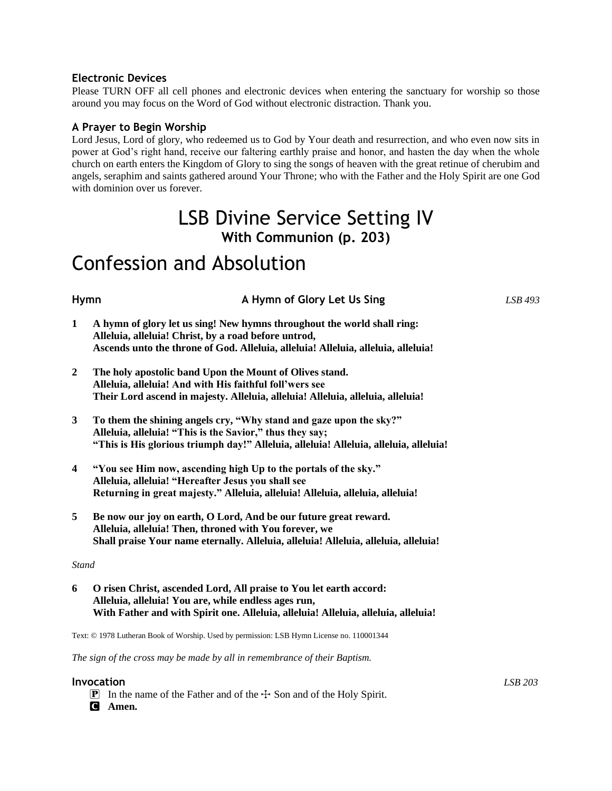# **Electronic Devices**

Please TURN OFF all cell phones and electronic devices when entering the sanctuary for worship so those around you may focus on the Word of God without electronic distraction. Thank you.

# **A Prayer to Begin Worship**

Lord Jesus, Lord of glory, who redeemed us to God by Your death and resurrection, and who even now sits in power at God's right hand, receive our faltering earthly praise and honor, and hasten the day when the whole church on earth enters the Kingdom of Glory to sing the songs of heaven with the great retinue of cherubim and angels, seraphim and saints gathered around Your Throne; who with the Father and the Holy Spirit are one God with dominion over us forever.

# LSB Divine Service Setting IV **With Communion (p. 203)**

# Confession and Absolution

# **Hymn A Hymn of Glory Let Us Sing** *LSB 493*

- **1 A hymn of glory let us sing! New hymns throughout the world shall ring: Alleluia, alleluia! Christ, by a road before untrod, Ascends unto the throne of God. Alleluia, alleluia! Alleluia, alleluia, alleluia!**
- **2 The holy apostolic band Upon the Mount of Olives stand. Alleluia, alleluia! And with His faithful foll'wers see Their Lord ascend in majesty. Alleluia, alleluia! Alleluia, alleluia, alleluia!**
- **3 To them the shining angels cry, "Why stand and gaze upon the sky?" Alleluia, alleluia! "This is the Savior," thus they say; "This is His glorious triumph day!" Alleluia, alleluia! Alleluia, alleluia, alleluia!**
- **4 "You see Him now, ascending high Up to the portals of the sky." Alleluia, alleluia! "Hereafter Jesus you shall see Returning in great majesty." Alleluia, alleluia! Alleluia, alleluia, alleluia!**
- **5 Be now our joy on earth, O Lord, And be our future great reward. Alleluia, alleluia! Then, throned with You forever, we Shall praise Your name eternally. Alleluia, alleluia! Alleluia, alleluia, alleluia!**

#### *Stand*

**6 O risen Christ, ascended Lord, All praise to You let earth accord: Alleluia, alleluia! You are, while endless ages run, With Father and with Spirit one. Alleluia, alleluia! Alleluia, alleluia, alleluia!**

Text: © 1978 Lutheran Book of Worship. Used by permission: LSB Hymn License no. 110001344

*The sign of the cross may be made by all in remembrance of their Baptism.*

#### **Invocation** *LSB 203*

**P** In the name of the Father and of the  $\pm$  Son and of the Holy Spirit.

C **Amen.**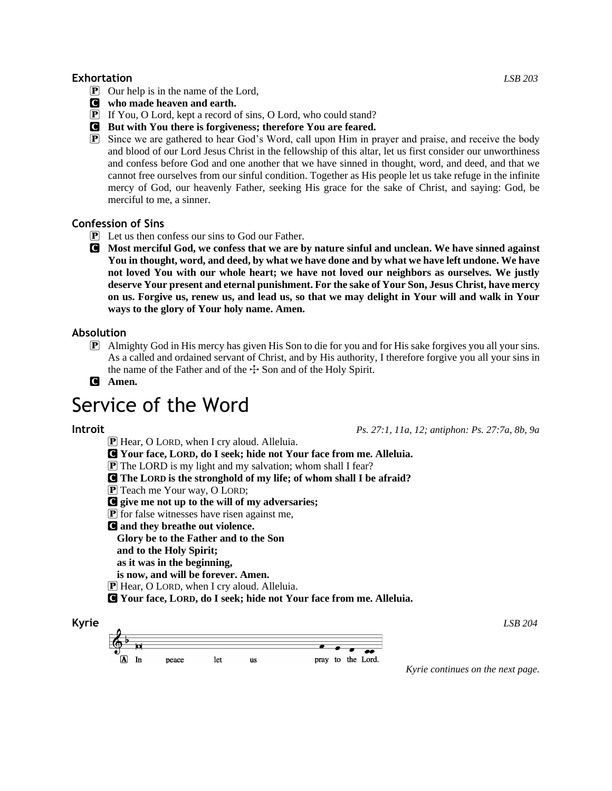### **Exhortation** *LSB 203*

- $\boxed{\mathbf{P}}$  Our help is in the name of the Lord,
- C **who made heaven and earth.**
- P If You, O Lord, kept a record of sins, O Lord, who could stand?
- C **But with You there is forgiveness; therefore You are feared.**
- P Since we are gathered to hear God's Word, call upon Him in prayer and praise, and receive the body and blood of our Lord Jesus Christ in the fellowship of this altar, let us first consider our unworthiness and confess before God and one another that we have sinned in thought, word, and deed, and that we cannot free ourselves from our sinful condition. Together as His people let us take refuge in the infinite mercy of God, our heavenly Father, seeking His grace for the sake of Christ, and saying: God, be merciful to me, a sinner.

### **Confession of Sins**

- $\boxed{\mathbf{P}}$  Let us then confess our sins to God our Father.
- C **Most merciful God, we confess that we are by nature sinful and unclean. We have sinned against You in thought, word, and deed, by what we have done and by what we have left undone. We have not loved You with our whole heart; we have not loved our neighbors as ourselves. We justly deserve Your present and eternal punishment. For the sake of Your Son, Jesus Christ, have mercy on us. Forgive us, renew us, and lead us, so that we may delight in Your will and walk in Your ways to the glory of Your holy name. Amen.**

### **Absolution**

P Almighty God in His mercy has given His Son to die for you and for His sake forgives you all your sins. As a called and ordained servant of Christ, and by His authority, I therefore forgive you all your sins in the name of the Father and of the  $\pm$  Son and of the Holy Spirit.

C **Amen.**

# Service of the Word

**Introit** *Ps. 27:1, 11a, 12; antiphon: Ps. 27:7a, 8b, 9a*

- **P** Hear, O LORD, when I cry aloud. Alleluia.
- C **Your face, LORD, do I seek; hide not Your face from me. Alleluia.**
- **P** The LORD is my light and my salvation; whom shall I fear?
- C **The LORD is the stronghold of my life; of whom shall I be afraid?**
- **P** Teach me Your way, O LORD:
- C **give me not up to the will of my adversaries;**
- $\mathbf{P}$  for false witnesses have risen against me,
- C **and they breathe out violence.**
- **Glory be to the Father and to the Son**
- **and to the Holy Spirit;**
- **as it was in the beginning,**

**is now, and will be forever. Amen.**

**P** Hear, O LORD, when I cry aloud. Alleluia.

C **Your face, LORD, do I seek; hide not Your face from me. Alleluia.**

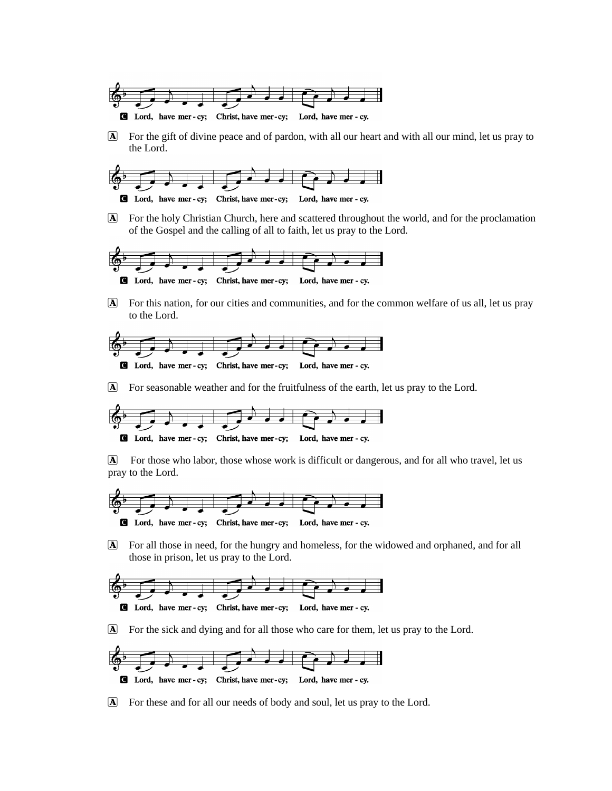

A For the gift of divine peace and of pardon, with all our heart and with all our mind, let us pray to the Lord.



A For the holy Christian Church, here and scattered throughout the world, and for the proclamation of the Gospel and the calling of all to faith, let us pray to the Lord.



A For this nation, for our cities and communities, and for the common welfare of us all, let us pray to the Lord.



I Lord, have mer-cy; Christ, have mer-cy; Lord, have mer-cy.

A For seasonable weather and for the fruitfulness of the earth, let us pray to the Lord.



A For those who labor, those whose work is difficult or dangerous, and for all who travel, let us pray to the Lord.



A For all those in need, for the hungry and homeless, for the widowed and orphaned, and for all those in prison, let us pray to the Lord.



A For the sick and dying and for all those who care for them, let us pray to the Lord.



A For these and for all our needs of body and soul, let us pray to the Lord.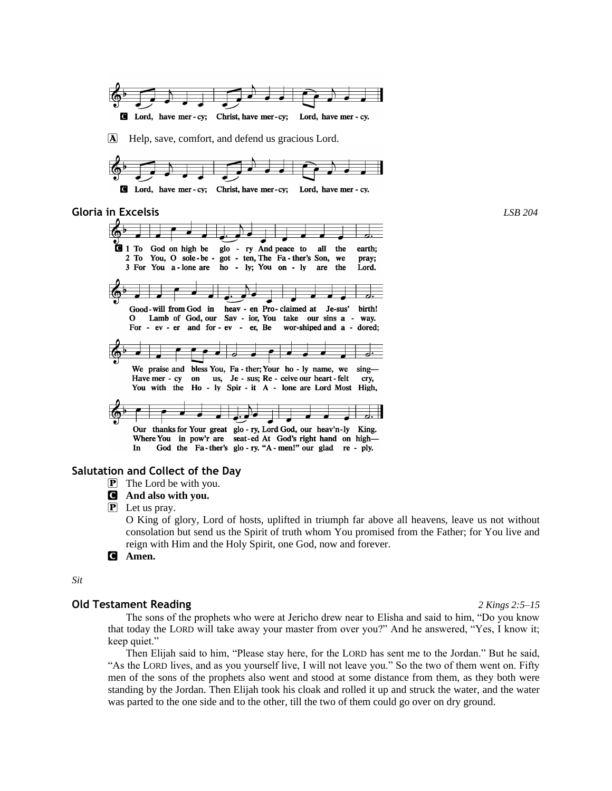

A Help, save, comfort, and defend us gracious Lord.



**C** Lord, have mer-cy; Christ, have mer-cy; Lord, have mer - cy.

# **Gloria in Excelsis** *LSB 204*



#### **Salutation and Collect of the Day**

- P The Lord be with you.
- C **And also with you.**
- **P** Let us pray.

O King of glory, Lord of hosts, uplifted in triumph far above all heavens, leave us not without consolation but send us the Spirit of truth whom You promised from the Father; for You live and reign with Him and the Holy Spirit, one God, now and forever.

C **Amen.**

#### *Sit*

#### **Old Testament Reading** *2 Kings 2:5–15*

The sons of the prophets who were at Jericho drew near to Elisha and said to him, "Do you know that today the LORD will take away your master from over you?" And he answered, "Yes, I know it; keep quiet."

Then Elijah said to him, "Please stay here, for the LORD has sent me to the Jordan." But he said, "As the LORD lives, and as you yourself live, I will not leave you." So the two of them went on. Fifty men of the sons of the prophets also went and stood at some distance from them, as they both were standing by the Jordan. Then Elijah took his cloak and rolled it up and struck the water, and the water was parted to the one side and to the other, till the two of them could go over on dry ground.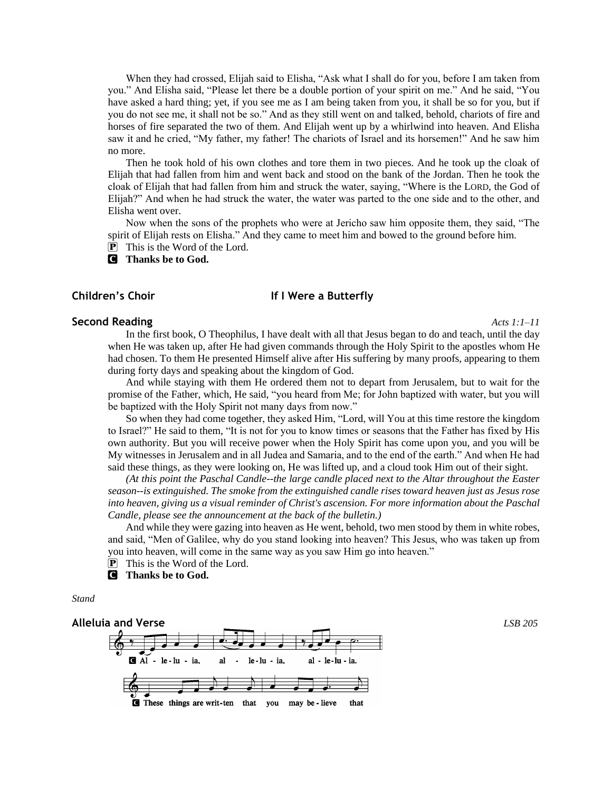When they had crossed, Elijah said to Elisha, "Ask what I shall do for you, before I am taken from you." And Elisha said, "Please let there be a double portion of your spirit on me." And he said, "You have asked a hard thing; yet, if you see me as I am being taken from you, it shall be so for you, but if you do not see me, it shall not be so." And as they still went on and talked, behold, chariots of fire and horses of fire separated the two of them. And Elijah went up by a whirlwind into heaven. And Elisha saw it and he cried, "My father, my father! The chariots of Israel and its horsemen!" And he saw him no more.

Then he took hold of his own clothes and tore them in two pieces. And he took up the cloak of Elijah that had fallen from him and went back and stood on the bank of the Jordan. Then he took the cloak of Elijah that had fallen from him and struck the water, saying, "Where is the LORD, the God of Elijah?" And when he had struck the water, the water was parted to the one side and to the other, and Elisha went over.

Now when the sons of the prophets who were at Jericho saw him opposite them, they said, "The spirit of Elijah rests on Elisha." And they came to meet him and bowed to the ground before him.

 $\boxed{\mathbf{P}}$  This is the Word of the Lord.

C **Thanks be to God.**

#### **Children's Choir If I Were a Butterfly**

#### **Second Reading** *Acts 1:1–11*

In the first book, O Theophilus, I have dealt with all that Jesus began to do and teach, until the day when He was taken up, after He had given commands through the Holy Spirit to the apostles whom He had chosen. To them He presented Himself alive after His suffering by many proofs, appearing to them during forty days and speaking about the kingdom of God.

And while staying with them He ordered them not to depart from Jerusalem, but to wait for the promise of the Father, which, He said, "you heard from Me; for John baptized with water, but you will be baptized with the Holy Spirit not many days from now."

So when they had come together, they asked Him, "Lord, will You at this time restore the kingdom to Israel?" He said to them, "It is not for you to know times or seasons that the Father has fixed by His own authority. But you will receive power when the Holy Spirit has come upon you, and you will be My witnesses in Jerusalem and in all Judea and Samaria, and to the end of the earth." And when He had said these things, as they were looking on, He was lifted up, and a cloud took Him out of their sight.

*(At this point the Paschal Candle--the large candle placed next to the Altar throughout the Easter season--is extinguished. The smoke from the extinguished candle rises toward heaven just as Jesus rose into heaven, giving us a visual reminder of Christ's ascension. For more information about the Paschal Candle, please see the announcement at the back of the bulletin.)*

And while they were gazing into heaven as He went, behold, two men stood by them in white robes, and said, "Men of Galilee, why do you stand looking into heaven? This Jesus, who was taken up from you into heaven, will come in the same way as you saw Him go into heaven."

 $\overline{P}$  This is the Word of the Lord.

C **Thanks be to God.**

#### *Stand*

#### **Alleluia and Verse** *LSB 205*

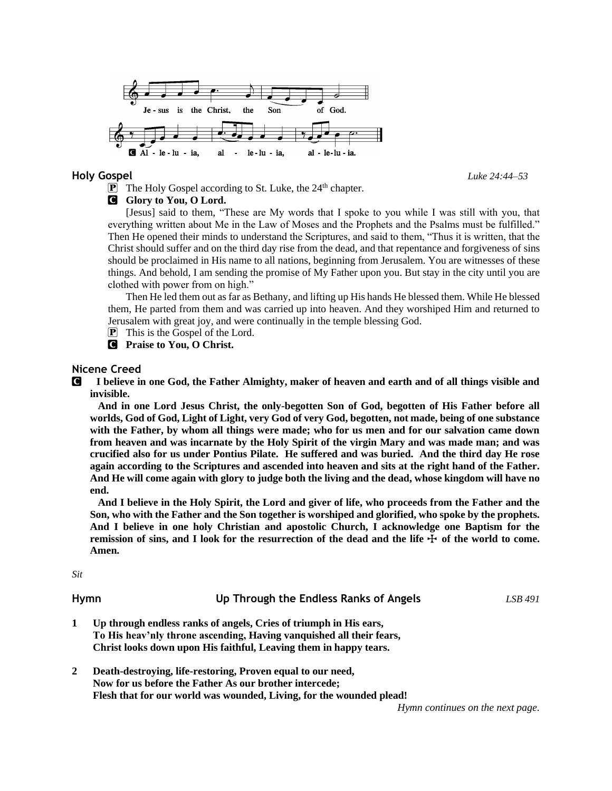

### **Holy Gospel** *Luke 24:44–53*

**P** The Holy Gospel according to St. Luke, the  $24<sup>th</sup>$  chapter.

#### **G** Glory to You, O Lord.

[Jesus] said to them, "These are My words that I spoke to you while I was still with you, that everything written about Me in the Law of Moses and the Prophets and the Psalms must be fulfilled." Then He opened their minds to understand the Scriptures, and said to them, "Thus it is written, that the Christ should suffer and on the third day rise from the dead, and that repentance and forgiveness of sins should be proclaimed in His name to all nations, beginning from Jerusalem. You are witnesses of these things. And behold, I am sending the promise of My Father upon you. But stay in the city until you are clothed with power from on high."

Then He led them out as far as Bethany, and lifting up His hands He blessed them. While He blessed them, He parted from them and was carried up into heaven. And they worshiped Him and returned to Jerusalem with great joy, and were continually in the temple blessing God.

P This is the Gospel of the Lord.

C **Praise to You, O Christ.**

#### **Nicene Creed**

C **I believe in one God, the Father Almighty, maker of heaven and earth and of all things visible and invisible.**

 **And in one Lord Jesus Christ, the only-begotten Son of God, begotten of His Father before all worlds, God of God, Light of Light, very God of very God, begotten, not made, being of one substance with the Father, by whom all things were made; who for us men and for our salvation came down from heaven and was incarnate by the Holy Spirit of the virgin Mary and was made man; and was crucified also for us under Pontius Pilate. He suffered and was buried. And the third day He rose again according to the Scriptures and ascended into heaven and sits at the right hand of the Father. And He will come again with glory to judge both the living and the dead, whose kingdom will have no end.**

 **And I believe in the Holy Spirit, the Lord and giver of life, who proceeds from the Father and the Son, who with the Father and the Son together is worshiped and glorified, who spoke by the prophets. And I believe in one holy Christian and apostolic Church, I acknowledge one Baptism for the**  remission of sins, and I look for the resurrection of the dead and the life  $\pm$  of the world to come. **Amen.**

*Sit*

# **Hymn Up Through the Endless Ranks of Angels** *LSB 491*

- **1 Up through endless ranks of angels, Cries of triumph in His ears, To His heav'nly throne ascending, Having vanquished all their fears, Christ looks down upon His faithful, Leaving them in happy tears.**
- **2 Death-destroying, life-restoring, Proven equal to our need, Now for us before the Father As our brother intercede; Flesh that for our world was wounded, Living, for the wounded plead!**

*Hymn continues on the next page.*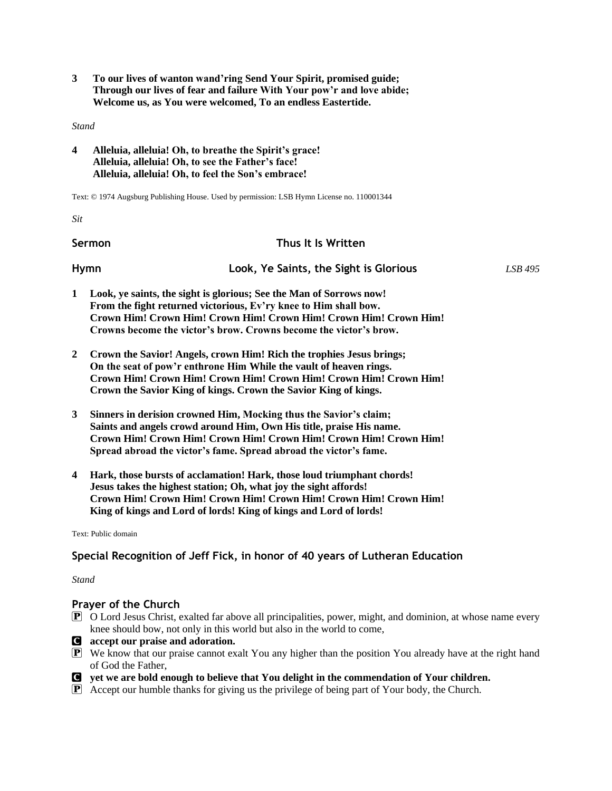**3 To our lives of wanton wand'ring Send Your Spirit, promised guide; Through our lives of fear and failure With Your pow'r and love abide; Welcome us, as You were welcomed, To an endless Eastertide.**

*Stand*

| 4 | Alleluia, alleluia! Oh, to breathe the Spirit's grace! |
|---|--------------------------------------------------------|
|   | Alleluia, alleluia! Oh, to see the Father's face!      |
|   | Alleluia, alleluia! Oh, to feel the Son's embrace!     |

Text: © 1974 Augsburg Publishing House. Used by permission: LSB Hymn License no. 110001344

*Sit*

|              | <b>Sermon</b> | Thus It Is Written                                                                                                                                                                                                                                                                |         |
|--------------|---------------|-----------------------------------------------------------------------------------------------------------------------------------------------------------------------------------------------------------------------------------------------------------------------------------|---------|
|              | Hymn          | Look, Ye Saints, the Sight is Glorious                                                                                                                                                                                                                                            | LSB 495 |
| $\mathbf{1}$ |               | Look, ye saints, the sight is glorious; See the Man of Sorrows now!<br>From the fight returned victorious, Ev'ry knee to Him shall bow.<br>Crown Him! Crown Him! Crown Him! Crown Him! Crown Him! Crown Him!<br>Crowns become the victor's brow. Crowns become the victor's brow. |         |

- **2 Crown the Savior! Angels, crown Him! Rich the trophies Jesus brings; On the seat of pow'r enthrone Him While the vault of heaven rings. Crown Him! Crown Him! Crown Him! Crown Him! Crown Him! Crown Him! Crown the Savior King of kings. Crown the Savior King of kings.**
- **3 Sinners in derision crowned Him, Mocking thus the Savior's claim; Saints and angels crowd around Him, Own His title, praise His name. Crown Him! Crown Him! Crown Him! Crown Him! Crown Him! Crown Him! Spread abroad the victor's fame. Spread abroad the victor's fame.**
- **4 Hark, those bursts of acclamation! Hark, those loud triumphant chords! Jesus takes the highest station; Oh, what joy the sight affords! Crown Him! Crown Him! Crown Him! Crown Him! Crown Him! Crown Him! King of kings and Lord of lords! King of kings and Lord of lords!**

Text: Public domain

# **Special Recognition of Jeff Fick, in honor of 40 years of Lutheran Education**

*Stand*

# **Prayer of the Church**

- $\mathbf{P}$  O Lord Jesus Christ, exalted far above all principalities, power, might, and dominion, at whose name every knee should bow, not only in this world but also in the world to come,
- C **accept our praise and adoration.**
- $\mathbf{P}$  We know that our praise cannot exalt You any higher than the position You already have at the right hand of God the Father,
- C **yet we are bold enough to believe that You delight in the commendation of Your children.**
- $\mathbf{P}$  Accept our humble thanks for giving us the privilege of being part of Your body, the Church.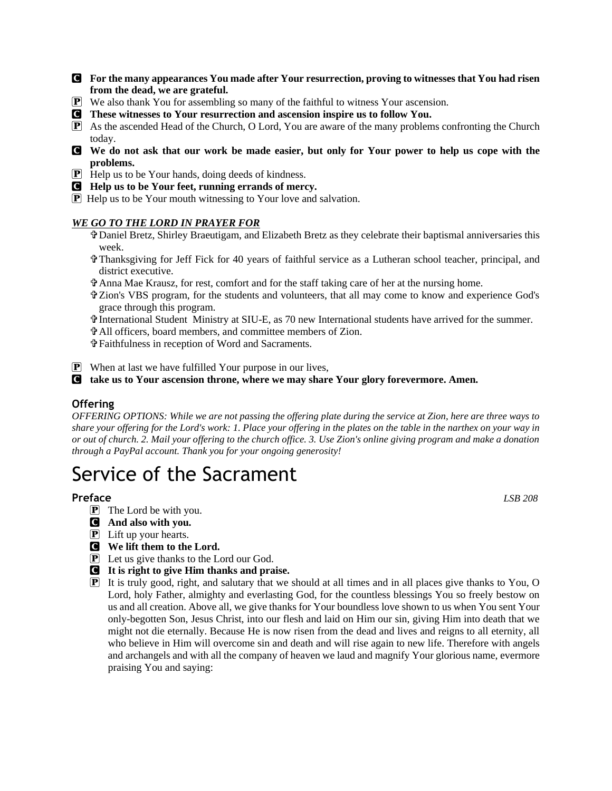- C **For the many appearances You made after Your resurrection, proving to witnesses that You had risen from the dead, we are grateful.**
- $\mathbf{P}$  We also thank You for assembling so many of the faithful to witness Your ascension.
- C **These witnesses to Your resurrection and ascension inspire us to follow You.**
- P As the ascended Head of the Church, O Lord, You are aware of the many problems confronting the Church today.
- C **We do not ask that our work be made easier, but only for Your power to help us cope with the problems.**
- $\mathbf{P}$  Help us to be Your hands, doing deeds of kindness.
- C **Help us to be Your feet, running errands of mercy.**
- P Help us to be Your mouth witnessing to Your love and salvation.

### *WE GO TO THE LORD IN PRAYER FOR*

- Daniel Bretz, Shirley Braeutigam, and Elizabeth Bretz as they celebrate their baptismal anniversaries this week.
- Thanksgiving for Jeff Fick for 40 years of faithful service as a Lutheran school teacher, principal, and district executive.
- Anna Mae Krausz, for rest, comfort and for the staff taking care of her at the nursing home.
- Zion's VBS program, for the students and volunteers, that all may come to know and experience God's grace through this program.
- International Student Ministry at SIU-E, as 70 new International students have arrived for the summer.
- All officers, board members, and committee members of Zion.
- Faithfulness in reception of Word and Sacraments.

 $\mathbf{P}$  When at last we have fulfilled Your purpose in our lives,

C **take us to Your ascension throne, where we may share Your glory forevermore. Amen.**

# **Offering**

*OFFERING OPTIONS: While we are not passing the offering plate during the service at Zion, here are three ways to share your offering for the Lord's work: 1. Place your offering in the plates on the table in the narthex on your way in or out of church. 2. Mail your offering to the church office. 3. Use Zion's online giving program and make a donation through a PayPal account. Thank you for your ongoing generosity!*

# Service of the Sacrament

#### **Preface** *LSB 208*

- P The Lord be with you.
- C **And also with you.**
- $\overline{P}$  Lift up your hearts.
- C **We lift them to the Lord.**
- P Let us give thanks to the Lord our God.
- C **It is right to give Him thanks and praise.**
- P It is truly good, right, and salutary that we should at all times and in all places give thanks to You, O Lord, holy Father, almighty and everlasting God, for the countless blessings You so freely bestow on us and all creation. Above all, we give thanks for Your boundless love shown to us when You sent Your only-begotten Son, Jesus Christ, into our flesh and laid on Him our sin, giving Him into death that we might not die eternally. Because He is now risen from the dead and lives and reigns to all eternity, all who believe in Him will overcome sin and death and will rise again to new life. Therefore with angels and archangels and with all the company of heaven we laud and magnify Your glorious name, evermore praising You and saying: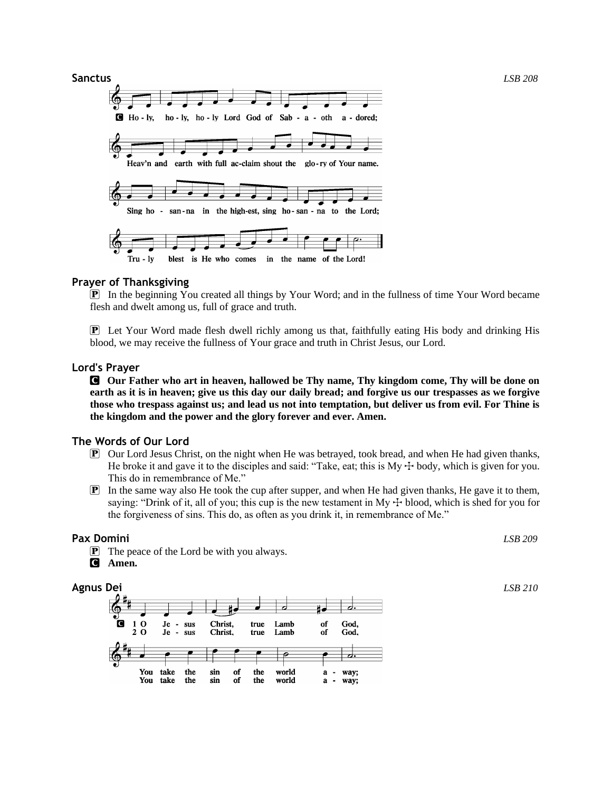

#### **Prayer of Thanksgiving**

P In the beginning You created all things by Your Word; and in the fullness of time Your Word became flesh and dwelt among us, full of grace and truth.

 $\mathbb{P}$  Let Your Word made flesh dwell richly among us that, faithfully eating His body and drinking His blood, we may receive the fullness of Your grace and truth in Christ Jesus, our Lord.

#### **Lord's Prayer**

C **Our Father who art in heaven, hallowed be Thy name, Thy kingdom come, Thy will be done on earth as it is in heaven; give us this day our daily bread; and forgive us our trespasses as we forgive those who trespass against us; and lead us not into temptation, but deliver us from evil. For Thine is the kingdom and the power and the glory forever and ever. Amen.**

#### **The Words of Our Lord**

- $\mathbb P$  Our Lord Jesus Christ, on the night when He was betrayed, took bread, and when He had given thanks, He broke it and gave it to the disciples and said: "Take, eat; this is  $My + body$ , which is given for you. This do in remembrance of Me."
- $\mathbb{P}$  In the same way also He took the cup after supper, and when He had given thanks, He gave it to them, saying: "Drink of it, all of you; this cup is the new testament in My  $+$  blood, which is shed for you for the forgiveness of sins. This do, as often as you drink it, in remembrance of Me."

#### **Pax Domini** *LSB 209*

- $\mathbf{P}$  The peace of the Lord be with you always.
- C **Amen.**

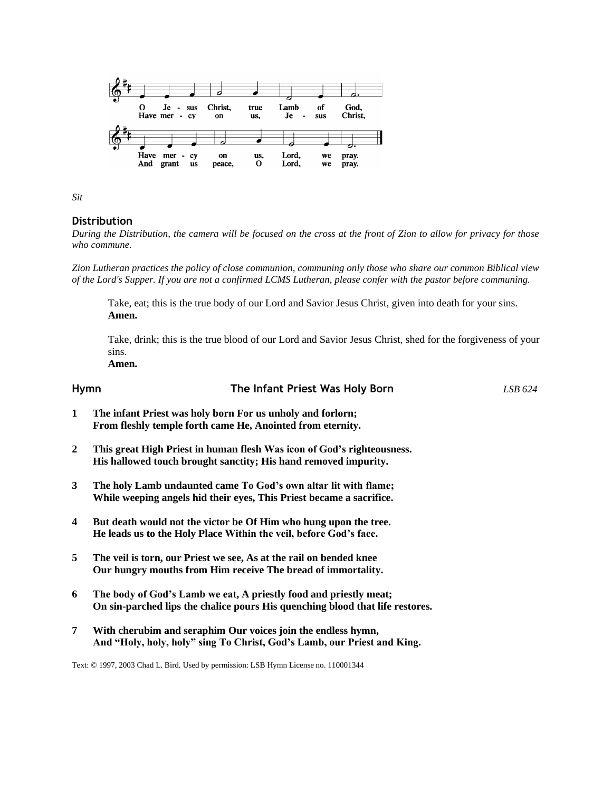

*Sit*

# **Distribution**

*During the Distribution, the camera will be focused on the cross at the front of Zion to allow for privacy for those who commune.*

*Zion Lutheran practices the policy of close communion, communing only those who share our common Biblical view of the Lord's Supper. If you are not a confirmed LCMS Lutheran, please confer with the pastor before communing.*

Take, eat; this is the true body of our Lord and Savior Jesus Christ, given into death for your sins. **Amen.**

Take, drink; this is the true blood of our Lord and Savior Jesus Christ, shed for the forgiveness of your sins. **Amen.**

|                | <b>Hymn</b><br>The Infant Priest Was Holy Born                                                                                                     | LSB 624 |
|----------------|----------------------------------------------------------------------------------------------------------------------------------------------------|---------|
| 1              | The infant Priest was holy born For us unholy and forlorn;<br>From fleshly temple forth came He, Anointed from eternity.                           |         |
| $\overline{2}$ | This great High Priest in human flesh Was icon of God's righteousness.<br>His hallowed touch brought sanctity; His hand removed impurity.          |         |
| $\mathbf{3}$   | The holy Lamb undaunted came To God's own altar lit with flame;<br>While weeping angels hid their eyes, This Priest became a sacrifice.            |         |
| 4              | But death would not the victor be Of Him who hung upon the tree.<br>He leads us to the Holy Place Within the veil, before God's face.              |         |
| 5              | The veil is torn, our Priest we see, As at the rail on bended knee<br>Our hungry mouths from Him receive The bread of immortality.                 |         |
| 6              | The body of God's Lamb we eat, A priestly food and priestly meat;<br>On sin-parched lips the chalice pours His quenching blood that life restores. |         |
| 7              | With cherubim and seraphim Our voices join the endless hymn,<br>And "Holy, holy, holy" sing To Christ, God's Lamb, our Priest and King.            |         |
|                | Text: © 1997, 2003 Chad L. Bird. Used by permission: LSB Hymn License no. 110001344                                                                |         |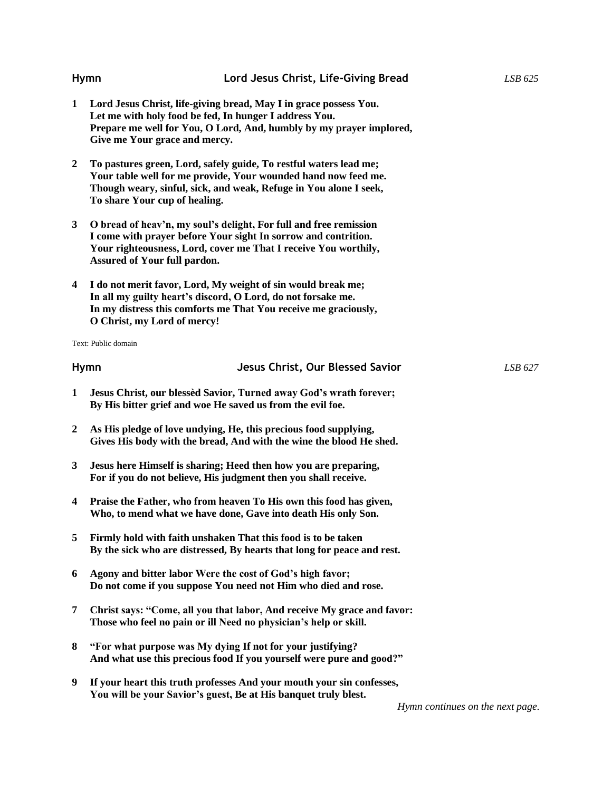|                  | Hymn                                                                                    | Lord Jesus Christ, Life-Giving Bread                                                                                                                                                                     |                                  | LSB 625 |
|------------------|-----------------------------------------------------------------------------------------|----------------------------------------------------------------------------------------------------------------------------------------------------------------------------------------------------------|----------------------------------|---------|
| $\mathbf{1}$     | Let me with holy food be fed, In hunger I address You.<br>Give me Your grace and mercy. | Lord Jesus Christ, life-giving bread, May I in grace possess You.<br>Prepare me well for You, O Lord, And, humbly by my prayer implored,                                                                 |                                  |         |
| $\boldsymbol{2}$ | To share Your cup of healing.                                                           | To pastures green, Lord, safely guide, To restful waters lead me;<br>Your table well for me provide, Your wounded hand now feed me.<br>Though weary, sinful, sick, and weak, Refuge in You alone I seek, |                                  |         |
| 3                | Assured of Your full pardon.                                                            | O bread of heav'n, my soul's delight, For full and free remission<br>I come with prayer before Your sight In sorrow and contrition.<br>Your righteousness, Lord, cover me That I receive You worthily,   |                                  |         |
| 4                | O Christ, my Lord of mercy!                                                             | I do not merit favor, Lord, My weight of sin would break me;<br>In all my guilty heart's discord, O Lord, do not forsake me.<br>In my distress this comforts me That You receive me graciously,          |                                  |         |
|                  | Text: Public domain                                                                     |                                                                                                                                                                                                          |                                  |         |
|                  | <b>Hymn</b>                                                                             | Jesus Christ, Our Blessed Savior                                                                                                                                                                         |                                  | LSB 627 |
| $\mathbf{1}$     | By His bitter grief and woe He saved us from the evil foe.                              | Jesus Christ, our blessèd Savior, Turned away God's wrath forever;                                                                                                                                       |                                  |         |
| $\boldsymbol{2}$ |                                                                                         | As His pledge of love undying, He, this precious food supplying,<br>Gives His body with the bread, And with the wine the blood He shed.                                                                  |                                  |         |
| 3                |                                                                                         | Jesus here Himself is sharing; Heed then how you are preparing,<br>For if you do not believe, His judgment then you shall receive.                                                                       |                                  |         |
| 4                |                                                                                         | Praise the Father, who from heaven To His own this food has given,<br>Who, to mend what we have done, Gave into death His only Son.                                                                      |                                  |         |
| 5                |                                                                                         | Firmly hold with faith unshaken That this food is to be taken<br>By the sick who are distressed, By hearts that long for peace and rest.                                                                 |                                  |         |
| 6                | Agony and bitter labor Were the cost of God's high favor;                               | Do not come if you suppose You need not Him who died and rose.                                                                                                                                           |                                  |         |
| 7                |                                                                                         | Christ says: "Come, all you that labor, And receive My grace and favor:<br>Those who feel no pain or ill Need no physician's help or skill.                                                              |                                  |         |
| 8                |                                                                                         | "For what purpose was My dying If not for your justifying?<br>And what use this precious food If you yourself were pure and good?"                                                                       |                                  |         |
| 9                |                                                                                         | If your heart this truth professes And your mouth your sin confesses,<br>You will be your Savior's guest, Be at His banquet truly blest.                                                                 |                                  |         |
|                  |                                                                                         |                                                                                                                                                                                                          | Hymn continues on the next page. |         |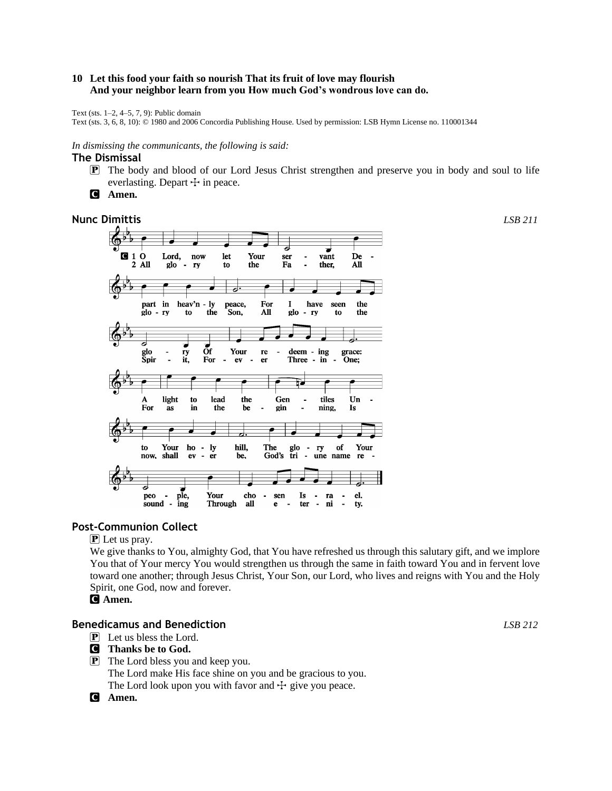### **10 Let this food your faith so nourish That its fruit of love may flourish And your neighbor learn from you How much God's wondrous love can do.**

#### Text (sts. 1–2, 4–5, 7, 9): Public domain

Text (sts. 3, 6, 8, 10): © 1980 and 2006 Concordia Publishing House. Used by permission: LSB Hymn License no. 110001344

#### *In dismissing the communicants, the following is said:*

#### **The Dismissal**

- P The body and blood of our Lord Jesus Christ strengthen and preserve you in body and soul to life everlasting. Depart  $+$  in peace.
- C **Amen.**

#### **Nunc Dimittis** *LSB 211*  $\blacksquare$  $10$  $\blacksquare$ Your vant Lord, now let ser De  $\overline{2}$  All glo the Fa ther, All ry to ক∙ part in heav'n - ly For the  $\mathbf I$ have peace, seen  $g$ lo - ry the Son, All glo the  $t<sub>0</sub>$  $-1$ to glo<br>Spir  $\bar{0}f$ Your grace:  $\frac{ry}{it}$  $r_{e}$ deem - ing For J. ev J.  $er$ Three - in -One; F.  $rac{A}{\text{For}}$ light to lead the Gen tiles  $Un$  $\overline{a}$  $\overline{a}$ as in the be gin L. ning, Is to Your ho  $\blacksquare$ ly hill, The glo  $\overline{\phantom{a}}$ ry of Your L. now, shall  $ev$  $\overline{a}$  $er$ be, God's tri une name re ple, Your cho  $\mathbf{I}\mathbf{s}$ el. peo  ${\bf sen}$ ra  $\mathbf{u}$ sound - ing **Through** all  $\mathbf{e}$ ÷. ter  $\mathbf{m}$ ty.

# **Post-Communion Collect**

#### $\mathbf{P}$  Let us pray.

We give thanks to You, almighty God, that You have refreshed us through this salutary gift, and we implore You that of Your mercy You would strengthen us through the same in faith toward You and in fervent love toward one another; through Jesus Christ, Your Son, our Lord, who lives and reigns with You and the Holy Spirit, one God, now and forever.

# C **Amen.**

#### **Benedicamus and Benediction** *LSB 212*

- $\overline{P}$  Let us bless the Lord.
- C **Thanks be to God.**
- P The Lord bless you and keep you. The Lord make His face shine on you and be gracious to you. The Lord look upon you with favor and  $\pm$  give you peace.
- C **Amen.**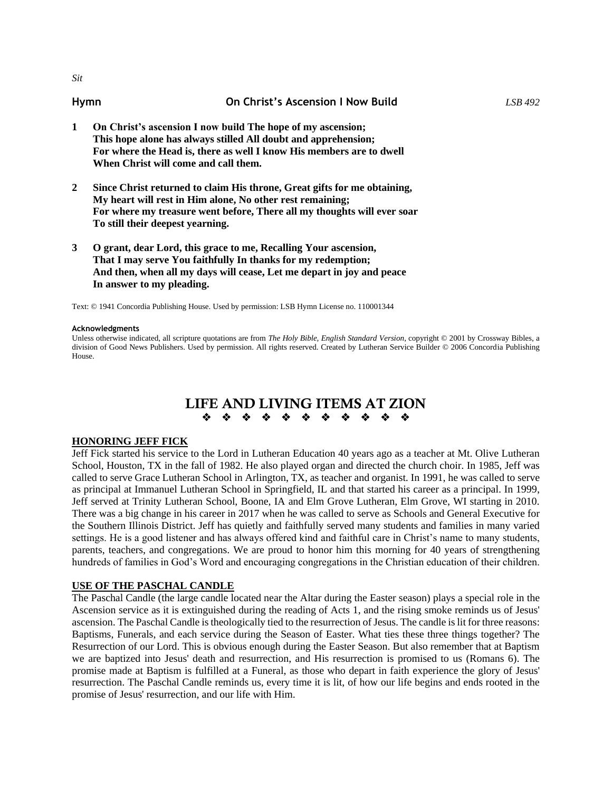|   | On Christ's Ascension I Now Build<br>Hymn                                                                                                                                                                                                     | LSB 492 |
|---|-----------------------------------------------------------------------------------------------------------------------------------------------------------------------------------------------------------------------------------------------|---------|
|   | On Christ's ascension I now build The hope of my ascension;<br>This hope alone has always stilled All doubt and apprehension;<br>For where the Head is, there as well I know His members are to dwell<br>When Christ will come and call them. |         |
| 2 | Since Christ returned to claim His throne, Great gifts for me obtaining,<br>My heart will rest in Him alone, No other rest remaining;<br>For where my treasure went before, There all my thoughts will ever soar                              |         |

**3 O grant, dear Lord, this grace to me, Recalling Your ascension, That I may serve You faithfully In thanks for my redemption; And then, when all my days will cease, Let me depart in joy and peace In answer to my pleading.**

Text: © 1941 Concordia Publishing House. Used by permission: LSB Hymn License no. 110001344

#### **Acknowledgments**

Unless otherwise indicated, all scripture quotations are from *The Holy Bible, English Standard Version*, copyright © 2001 by Crossway Bibles, a division of Good News Publishers. Used by permission. All rights reserved. Created by Lutheran Service Builder © 2006 Concordia Publishing House.

# LIFE AND LIVING ITEMS AT ZION ❖ ❖ ❖ ❖ ❖ ❖ ❖ ❖ ❖ ❖ ❖

#### **HONORING JEFF FICK**

**To still their deepest yearning.**

Jeff Fick started his service to the Lord in Lutheran Education 40 years ago as a teacher at Mt. Olive Lutheran School, Houston, TX in the fall of 1982. He also played organ and directed the church choir. In 1985, Jeff was called to serve Grace Lutheran School in Arlington, TX, as teacher and organist. In 1991, he was called to serve as principal at Immanuel Lutheran School in Springfield, IL and that started his career as a principal. In 1999, Jeff served at Trinity Lutheran School, Boone, IA and Elm Grove Lutheran, Elm Grove, WI starting in 2010. There was a big change in his career in 2017 when he was called to serve as Schools and General Executive for the Southern Illinois District. Jeff has quietly and faithfully served many students and families in many varied settings. He is a good listener and has always offered kind and faithful care in Christ's name to many students, parents, teachers, and congregations. We are proud to honor him this morning for 40 years of strengthening hundreds of families in God's Word and encouraging congregations in the Christian education of their children.

#### **USE OF THE PASCHAL CANDLE**

The Paschal Candle (the large candle located near the Altar during the Easter season) plays a special role in the Ascension service as it is extinguished during the reading of Acts 1, and the rising smoke reminds us of Jesus' ascension. The Paschal Candle is theologically tied to the resurrection of Jesus. The candle is lit for three reasons: Baptisms, Funerals, and each service during the Season of Easter. What ties these three things together? The Resurrection of our Lord. This is obvious enough during the Easter Season. But also remember that at Baptism we are baptized into Jesus' death and resurrection, and His resurrection is promised to us (Romans 6). The promise made at Baptism is fulfilled at a Funeral, as those who depart in faith experience the glory of Jesus' resurrection. The Paschal Candle reminds us, every time it is lit, of how our life begins and ends rooted in the promise of Jesus' resurrection, and our life with Him.

*Sit*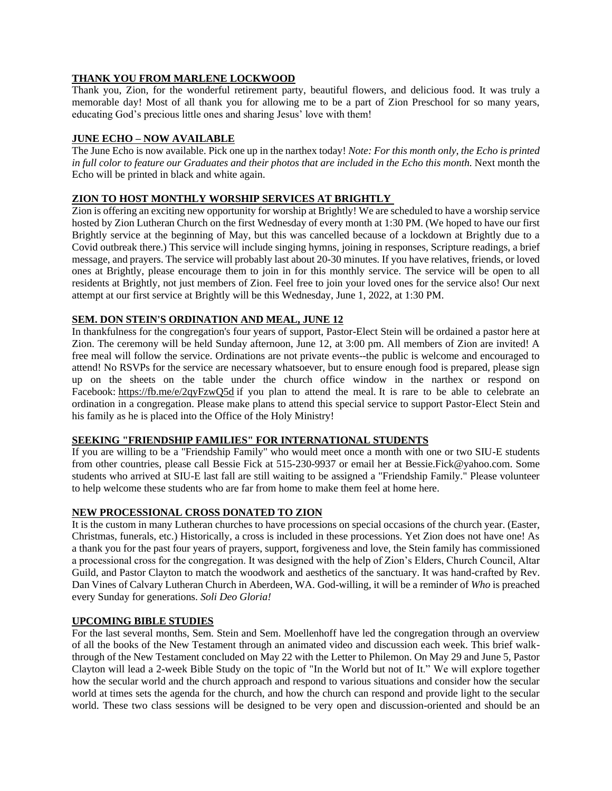### **THANK YOU FROM MARLENE LOCKWOOD**

Thank you, Zion, for the wonderful retirement party, beautiful flowers, and delicious food. It was truly a memorable day! Most of all thank you for allowing me to be a part of Zion Preschool for so many years, educating God's precious little ones and sharing Jesus' love with them!

### **JUNE ECHO – NOW AVAILABLE**

The June Echo is now available. Pick one up in the narthex today! *Note: For this month only, the Echo is printed in full color to feature our Graduates and their photos that are included in the Echo this month.* Next month the Echo will be printed in black and white again.

# **ZION TO HOST MONTHLY WORSHIP SERVICES AT BRIGHTLY**

Zion is offering an exciting new opportunity for worship at Brightly! We are scheduled to have a worship service hosted by Zion Lutheran Church on the first Wednesday of every month at 1:30 PM. (We hoped to have our first Brightly service at the beginning of May, but this was cancelled because of a lockdown at Brightly due to a Covid outbreak there.) This service will include singing hymns, joining in responses, Scripture readings, a brief message, and prayers. The service will probably last about 20-30 minutes. If you have relatives, friends, or loved ones at Brightly, please encourage them to join in for this monthly service. The service will be open to all residents at Brightly, not just members of Zion. Feel free to join your loved ones for the service also! Our next attempt at our first service at Brightly will be this Wednesday, June 1, 2022, at 1:30 PM.

# **SEM. DON STEIN'S ORDINATION AND MEAL, JUNE 12**

In thankfulness for the congregation's four years of support, Pastor-Elect Stein will be ordained a pastor here at Zion. The ceremony will be held Sunday afternoon, June 12, at 3:00 pm. All members of Zion are invited! A free meal will follow the service. Ordinations are not private events--the public is welcome and encouraged to attend! No RSVPs for the service are necessary whatsoever, but to ensure enough food is prepared, please sign up on the sheets on the table under the church office window in the narthex or respond on Facebook: <https://fb.me/e/2qyFzwQ5d> if you plan to attend the meal. It is rare to be able to celebrate an ordination in a congregation. Please make plans to attend this special service to support Pastor-Elect Stein and his family as he is placed into the Office of the Holy Ministry!

# **SEEKING "FRIENDSHIP FAMILIES" FOR INTERNATIONAL STUDENTS**

If you are willing to be a "Friendship Family" who would meet once a month with one or two SIU-E students from other countries, please call Bessie Fick at 515-230-9937 or email her at [Bessie.Fick@yahoo.com.](mailto:Bessie.Fick@yahoo.com) Some students who arrived at SIU-E last fall are still waiting to be assigned a "Friendship Family." Please volunteer to help welcome these students who are far from home to make them feel at home here.

# **NEW PROCESSIONAL CROSS DONATED TO ZION**

It is the custom in many Lutheran churches to have processions on special occasions of the church year. (Easter, Christmas, funerals, etc.) Historically, a cross is included in these processions. Yet Zion does not have one! As a thank you for the past four years of prayers, support, forgiveness and love, the Stein family has commissioned a processional cross for the congregation. It was designed with the help of Zion's Elders, Church Council, Altar Guild, and Pastor Clayton to match the woodwork and aesthetics of the sanctuary. It was hand-crafted by Rev. Dan Vines of Calvary Lutheran Church in Aberdeen, WA. God-willing, it will be a reminder of *Who* is preached every Sunday for generations. *Soli Deo Gloria!*

# **UPCOMING BIBLE STUDIES**

For the last several months, Sem. Stein and Sem. Moellenhoff have led the congregation through an overview of all the books of the New Testament through an animated video and discussion each week. This brief walkthrough of the New Testament concluded on May 22 with the Letter to Philemon. On May 29 and June 5, Pastor Clayton will lead a 2-week Bible Study on the topic of "In the World but not of It." We will explore together how the secular world and the church approach and respond to various situations and consider how the secular world at times sets the agenda for the church, and how the church can respond and provide light to the secular world. These two class sessions will be designed to be very open and discussion-oriented and should be an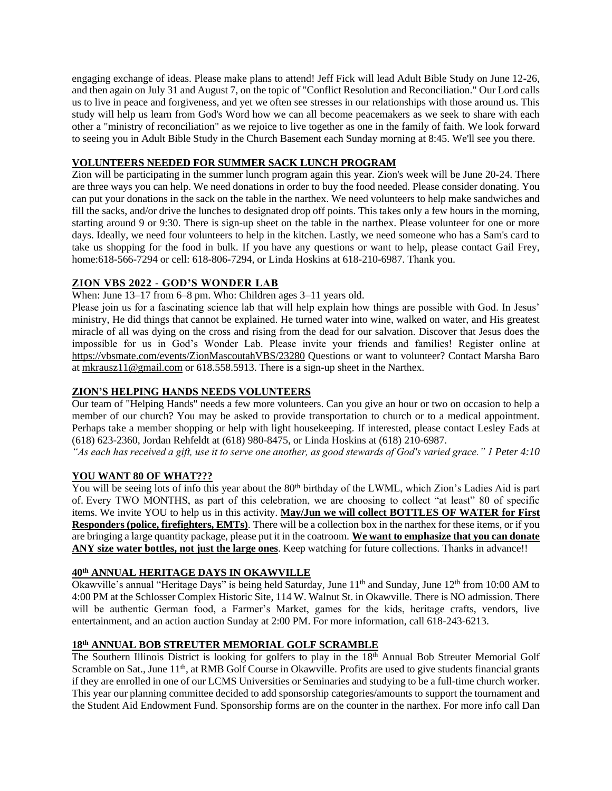engaging exchange of ideas. Please make plans to attend! Jeff Fick will lead Adult Bible Study on June 12-26, and then again on July 31 and August 7, on the topic of "Conflict Resolution and Reconciliation." Our Lord calls us to live in peace and forgiveness, and yet we often see stresses in our relationships with those around us. This study will help us learn from God's Word how we can all become peacemakers as we seek to share with each other a "ministry of reconciliation" as we rejoice to live together as one in the family of faith. We look forward to seeing you in Adult Bible Study in the Church Basement each Sunday morning at 8:45. We'll see you there.

# **VOLUNTEERS NEEDED FOR SUMMER SACK LUNCH PROGRAM**

Zion will be participating in the summer lunch program again this year. Zion's week will be June 20-24. There are three ways you can help. We need donations in order to buy the food needed. Please consider donating. You can put your donations in the sack on the table in the narthex. We need volunteers to help make sandwiches and fill the sacks, and/or drive the lunches to designated drop off points. This takes only a few hours in the morning, starting around 9 or 9:30. There is sign-up sheet on the table in the narthex. Please volunteer for one or more days. Ideally, we need four volunteers to help in the kitchen. Lastly, we need someone who has a Sam's card to take us shopping for the food in bulk. If you have any questions or want to help, please contact Gail Frey, home:618-566-7294 or cell: 618-806-7294, or Linda Hoskins at 618-210-6987. Thank you.

# **ZION VBS 2022 - GOD'S WONDER LAB**

When: June 13–17 from 6–8 pm. Who: Children ages 3–11 years old.

Please join us for a fascinating science lab that will help explain how things are possible with God. In Jesus' ministry, He did things that cannot be explained. He turned water into wine, walked on water, and His greatest miracle of all was dying on the cross and rising from the dead for our salvation. Discover that Jesus does the impossible for us in God's Wonder Lab. Please invite your friends and families! Register online at <https://vbsmate.com/events/ZionMascoutahVBS/23280> Questions or want to volunteer? Contact Marsha Baro at [mkrausz11@gmail.com](mailto:mkrausz11@gmail.com) or 618.558.5913. There is a sign-up sheet in the Narthex.

# **ZION'S HELPING HANDS NEEDS VOLUNTEERS**

Our team of "Helping Hands" needs a few more volunteers. Can you give an hour or two on occasion to help a member of our church? You may be asked to provide transportation to church or to a medical appointment. Perhaps take a member shopping or help with light housekeeping. If interested, please contact Lesley Eads at (618) 623-2360, Jordan Rehfeldt at (618) 980-8475, or Linda Hoskins at (618) 210-6987.

*"As each has received a gift, use it to serve one another, as good stewards of God's varied grace." 1 Peter 4:10*

# **YOU WANT 80 OF WHAT???**

You will be seeing lots of info this year about the 80<sup>th</sup> birthday of the LWML, which Zion's Ladies Aid is part of. Every TWO MONTHS, as part of this celebration, we are choosing to collect "at least" 80 of specific items. We invite YOU to help us in this activity. **May/Jun we will collect BOTTLES OF WATER for First Responders (police, firefighters, EMTs)**. There will be a collection box in the narthex for these items, or if you are bringing a large quantity package, please put it in the coatroom. **We want to emphasize that you can donate ANY size water bottles, not just the large ones**. Keep watching for future collections. Thanks in advance!!

# **40th ANNUAL HERITAGE DAYS IN OKAWVILLE**

Okawville's annual "Heritage Days" is being held Saturday, June 11<sup>th</sup> and Sunday, June 12<sup>th</sup> from 10:00 AM to 4:00 PM at the Schlosser Complex Historic Site, 114 W. Walnut St. in Okawville. There is NO admission. There will be authentic German food, a Farmer's Market, games for the kids, heritage crafts, vendors, live entertainment, and an action auction Sunday at 2:00 PM. For more information, call 618-243-6213.

# **18 th ANNUAL BOB STREUTER MEMORIAL GOLF SCRAMBLE**

The Southern Illinois District is looking for golfers to play in the 18<sup>th</sup> Annual Bob Streuter Memorial Golf Scramble on Sat., June 11<sup>th</sup>, at RMB Golf Course in Okawville. Profits are used to give students financial grants if they are enrolled in one of our LCMS Universities or Seminaries and studying to be a full-time church worker. This year our planning committee decided to add sponsorship categories/amounts to support the tournament and the Student Aid Endowment Fund. Sponsorship forms are on the counter in the narthex. For more info call Dan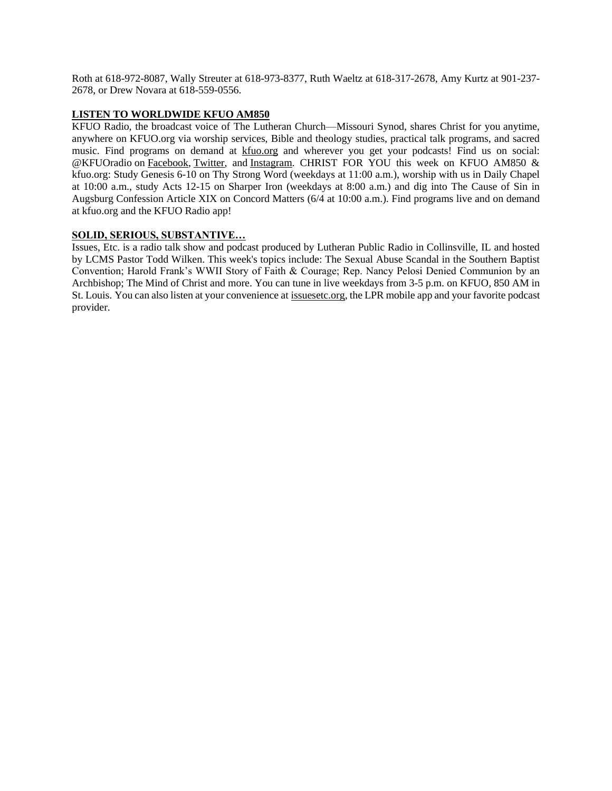Roth at 618-972-8087, Wally Streuter at 618-973-8377, Ruth Waeltz at 618-317-2678, Amy Kurtz at 901-237- 2678, or Drew Novara at 618-559-0556.

### **LISTEN TO WORLDWIDE KFUO AM850**

KFUO Radio, the broadcast voice of The Lutheran Church—Missouri Synod, shares Christ for you anytime, anywhere on KFUO.org via worship services, Bible and theology studies, practical talk programs, and sacred music. Find programs on demand at [kfuo.org](https://kfuo.us19.list-manage.com/track/click?u=54af661ed49340a315983cb13&id=6a950cafc7&e=0f60058984) and wherever you get your podcasts! Find us on social: @KFUOradio on [Facebook,](https://kfuo.us19.list-manage.com/track/click?u=54af661ed49340a315983cb13&id=779d2e4e95&e=0f60058984) [Twitter,](https://kfuo.us19.list-manage.com/track/click?u=54af661ed49340a315983cb13&id=20ab6527dc&e=0f60058984) and [Instagram.](https://kfuo.us19.list-manage.com/track/click?u=54af661ed49340a315983cb13&id=030cfa3bcf&e=0f60058984) CHRIST FOR YOU this week on KFUO AM850 & kfuo.org: Study Genesis 6-10 on Thy Strong Word (weekdays at 11:00 a.m.), worship with us in Daily Chapel at 10:00 a.m., study Acts 12-15 on Sharper Iron (weekdays at 8:00 a.m.) and dig into The Cause of Sin in Augsburg Confession Article XIX on Concord Matters (6/4 at 10:00 a.m.). Find programs live and on demand at kfuo.org and the KFUO Radio app!

### **SOLID, SERIOUS, SUBSTANTIVE…**

Issues, Etc. is a radio talk show and podcast produced by Lutheran Public Radio in Collinsville, IL and hosted by LCMS Pastor Todd Wilken. This week's topics include: The Sexual Abuse Scandal in the Southern Baptist Convention; Harold Frank's WWII Story of Faith & Courage; Rep. Nancy Pelosi Denied Communion by an Archbishop; The Mind of Christ and more. You can tune in live weekdays from 3-5 p.m. on KFUO, 850 AM in St. Louis. You can also listen at your convenience at [issuesetc.org,](https://r20.rs6.net/tn.jsp?f=001kvpVhej7xsM_KGiKedeYJr5GkPeD376IPqjpr81ql9ibsQXo2gUjBzNcvVusK4MVA96KlR5XxTesLfoKC-pbJf0LCZZe6kcJoiT4JBf1h9Z9sHjCIS7poh5XqB8SPc87FogbPVi2hTXHh8F1h3hF5g==&c=n6L6j7fSHpQNh8-8G7dA-dkiipjOuT31ji233Ptu-Ubt532b3Agc7g==&ch=GRvy-MyvoM7lPpE5ZEdAoJIdrQctU5zYt6uHaDYJjG_QkjabxXDrTg==) the LPR mobile app and your favorite podcast provider.